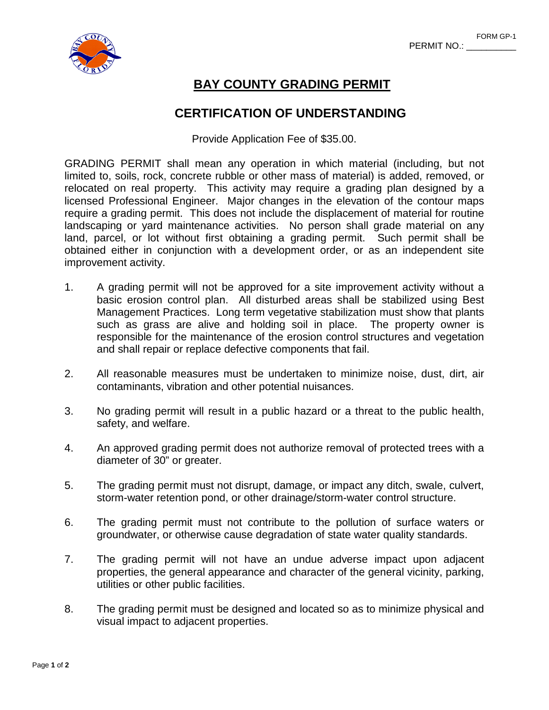

# **BAY COUNTY GRADING PERMIT**

## **CERTIFICATION OF UNDERSTANDING**

Provide Application Fee of \$35.00.

GRADING PERMIT shall mean any operation in which material (including, but not limited to, soils, rock, concrete rubble or other mass of material) is added, removed, or relocated on real property. This activity may require a grading plan designed by a licensed Professional Engineer. Major changes in the elevation of the contour maps require a grading permit. This does not include the displacement of material for routine landscaping or yard maintenance activities. No person shall grade material on any land, parcel, or lot without first obtaining a grading permit. Such permit shall be obtained either in conjunction with a development order, or as an independent site improvement activity.

- 1. A grading permit will not be approved for a site improvement activity without a basic erosion control plan. All disturbed areas shall be stabilized using Best Management Practices. Long term vegetative stabilization must show that plants such as grass are alive and holding soil in place. The property owner is responsible for the maintenance of the erosion control structures and vegetation and shall repair or replace defective components that fail.
- 2. All reasonable measures must be undertaken to minimize noise, dust, dirt, air contaminants, vibration and other potential nuisances.
- 3. No grading permit will result in a public hazard or a threat to the public health, safety, and welfare.
- 4. An approved grading permit does not authorize removal of protected trees with a diameter of 30" or greater.
- 5. The grading permit must not disrupt, damage, or impact any ditch, swale, culvert, storm-water retention pond, or other drainage/storm-water control structure.
- 6. The grading permit must not contribute to the pollution of surface waters or groundwater, or otherwise cause degradation of state water quality standards.
- 7. The grading permit will not have an undue adverse impact upon adjacent properties, the general appearance and character of the general vicinity, parking, utilities or other public facilities.
- 8. The grading permit must be designed and located so as to minimize physical and visual impact to adjacent properties.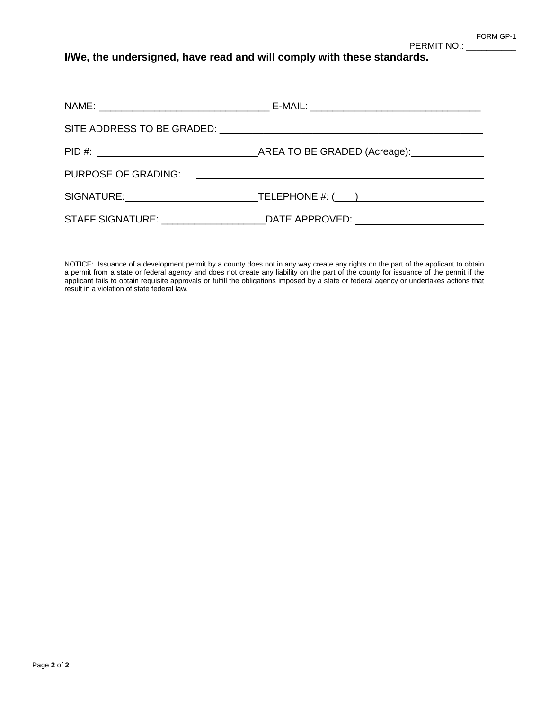PERMIT NO.: \_

**I/We, the undersigned, have read and will comply with these standards.**

| PURPOSE OF GRADING: | <u> 1980 - Johann Harry Harry Harry Harry Harry Harry Harry Harry Harry Harry Harry Harry Harry Harry Harry Harry</u> |
|---------------------|-----------------------------------------------------------------------------------------------------------------------|
|                     |                                                                                                                       |
|                     | STAFF SIGNATURE: ________________________DATE APPROVED: ________________________                                      |

NOTICE: Issuance of a development permit by a county does not in any way create any rights on the part of the applicant to obtain a permit from a state or federal agency and does not create any liability on the part of the county for issuance of the permit if the applicant fails to obtain requisite approvals or fulfill the obligations imposed by a state or federal agency or undertakes actions that result in a violation of state federal law.